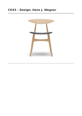# **CH33 – Design: Hans J. Wegner**

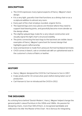# **DESCRIPTION**

- The CH33 expresses many typical aspects of Hans J. Wegner's best design.
- It is a very light, graceful chair that functions as a dining chair or as a sculptural addition to almost any room.
- Every part of the chair employs rounded, organic forms.
- The tapered legs and cross pieces are thickest where they need to support load-bearing joints, and gracefully become more slender as the design allows.
- The slightly splayed legs make for a very robust construction and visually signal the light chair's structural stability.
- The joints connecting the back legs to the backrest are visible classic examples of Hans J. Wegner's penchant for honest design that highlights good craftsmanship.
- Seat and backrest is made from pressure-formed hardwood laminate.
- CH33 comes in beech, oak or smoked oak with an upholstered seat in the customer's choice of fabric or leather.

# **HISTORY**

- Hans J. Wegner designed the CH33 for Carl Hansen & Son in 1957.
- It was produced for 10 consecutive years before being taken out of production.
- Carl Hansen & Son re-introduced the CH33 in 2012.

# **THE DESIGNER**

As a driving force behind 'Danish Modern', Hans J. Wegner helped change the general public's viewof furniture in the 1950s and 1960s. His passion for designing chairs, more than 500 of them, is recognized worldwide and reflected in his title 'the Master of the Chair'. He is famous for integrating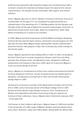perfectly executed joints with exquisite shapes and combining them with a constant curiosity for materials and deep respect for wood and its natural characteristics. His designs furnish minimalism with organic and natural softness.

Hans J. Wegner was born in 1914 in Tønder in Southern Denmark, the son of a shoemaker. At the age of 17, he completed his apprenticeship as a cabinetmaker in the workshop of H. F. Stahlberg where his first designs saw the light of day. At the age of twenty he moved to Copenhagen, Denmark, to attend the School of Arts and Crafts, where he studied from 1936-1938 before embarking on a career as an architect.

In 1940, Wegner joined Arne Jacobsen and Erik Møller and began designing furniture for the newCity Hall in Aarhus, Denmark's second-largest city. This was also the year when Wegner began working with master cabinetmaker Johannes Hansen, who played a major role in introducing modern design to the Danish public.

Hans J. Wegner opened his own drawing office in 1943. In 1944, he designed the first China Chair in a series inspired by Chinese chairs from the Ming dynasty. One ofthese chairs, the Wishbone Chair, designed in 1949 and produced by Carl Hansen & Søn since 1950, went on to become Wegner's most successful design of all time.

Hans J. Wegner is considered one ofthe most creative and productive Danish furniture designers of all time. He has received several accolades given to designers, including the Lunning Prize in 1951 and The 8th International Design Award in 1997.

He became an honorary member ofthe Royal Danish Academy for the Fine Arts in 1995, and an honorary doctor ofthe Royal College of Art in 1997. Almost all of the world's major design museums, from The Museum of Modern Art in New York to Die Neue Sammlung in Munich, feature his furniture in their collections. Hans J. Wegner died in Denmark in January 2007 - at the age of 92.

Carl Hansen & Søn's alliance with Hans J. Wegner began in 1949 and resulted in the production of a wide range of Wegner designs spanning dining chairs, easy chairs, footrests, sofas and coffee tables, dining tables as well as high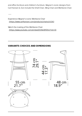end office furniture and children's furniture. Wegner's iconic designs from Carl Hansen & Son include the Shell Chair, Wing Chair and Wishbone Chair.

Experience Wegner's iconic Wishbone Chair [\(https://www.carlhansen.com/products/chairs/ch24/\)](https://www.carlhansen.com/products/chairs/ch24/)

 $\overline{\phantom{a}}$ 

Watch the making of the Wishbone Chair [\(https://www.youtube.com/embed/53YaVJIYDSU?rel=0\)](https://www.youtube.com/embed/53YaVJIYDSU?rel=0)

## **VARIANTS CHOICES AND DIMENSIONS**

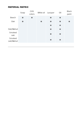# **MATERIAL MATRIX**

|                      | Soap | <b>CHS</b><br>colors | White oil | Lacquer | Oil | <b>Black</b><br>paint |
|----------------------|------|----------------------|-----------|---------|-----|-----------------------|
| <b>Beech</b>         |      |                      |           |         |     |                       |
| Oak                  |      |                      |           |         |     |                       |
|                      |      |                      |           |         |     |                       |
| Oak/Walnut           |      |                      |           |         |     |                       |
| Smoked<br>oak        |      |                      |           |         |     |                       |
| Smoked<br>oak/Walnut |      |                      |           |         |     |                       |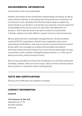## **ENVIRONMENTAL INFORMATION**

Carl Hansen & Søn and sustainability

People's fascination of the combination of good design and wood, as well as other natural materials, is something that transcends time and fashion. At Carl Hansen & Søn, we believe that this fascination helps to explain the great interest in our furniture, and we take very seriously concerns about the sustainability of the natural resources upon which we depend for our products. That is why we strive every day to improve our production methods, logistics and sales efforts in respect of scarce natural resources.

We buy wood only from sustainably managed forests. All sourced wood meets EUTR2013 regulations, Danish Forest Legislation and current international certifications. Oak, beech and ash come primarily from Danish forests which are managed according to the principles described in Denmark's National Forest Programme; some ofthese wood types are also sourced from other similarly managed European forests, or, in the case of walnut and cherry, North American forests.

We use every possible bit of these fine hardwoods in our furniture production. Inevitably, however, there are some scraps, which are then used to produce other products or recycled in district heating plants.

# **TESTS AND CERTIFICATIONS**

All tests and certificates are available on request.

### **CONTACT INFORMATION**

**EUROPE**

### **Carl Hansen & Søn A/S**

Hylkedamvej 77-79 DK 5591 Gelsted Denmark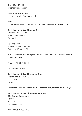Tel: +45 66 12 14 04 [info@carlhansen.com](mailto:info@carlhansen.com)

**Customer enquiries** [customerservice@carlhansen.dk](mailto:customerservice@carlhansen.dk)

#### **Press**

For all press-related inquiries, please contact [press@carlhansen.com](mailto:press@carlhansen.com)

### **Carl Hansen & Søn Flagship Store**

Bredgade 18, 21 & 23 1260 Copenhagen K Denmark

Opening Hours: Monday-Friday: 11.00 - 18.00 Saturday: 10.00 - 15.00

**NB:** Please note that Bredgade 18 is closed on Mondays. Saturday open by oppintment only.

Phone: +45 64 47 23 60

retail@carlhansen.dk

#### **Carl Hansen & Søn Showroom Oslo**

Drammensveien 130 B9 0277 Oslo Norwa<sub>y</sub>

Contact info Norway [\(https://www.carlhansen.com/contact-info-norway/\)](https://www.carlhansen.com/contact-info-norway/)

**Carl Hansen & Søn Showroom London**

16A Bowling Green Lane London EC1R OBD United Kingdom

Tel: +44 (0) 20 7632 7587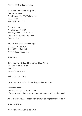Mail: ukinfo@carlhansen.com

### **Carl Hansen & Søn Italy SRL**

Showroom Milan Foro Buonaparte 18/A/ Via Arco 4 20121 Milan Tel: +39 02 89011837

Opening Hours: Monday: 15.00-19.00 Tuesday-Friday: 10.00 - 19.00 Saturday by appointment only. Sunday: closed

Area Manager Southern Europe Ottorino Castegnaro Tel: +39 340 4266636 Mail: oc@carlhansen.dk

#### **AMERICA**

**Carl Hansen & Søn Showroom New York** 251 Park Avenue South 13th Floor

Tel: +1 212 242 6736

NewYork, NY 10010

Customer Service: Northamerica@carlhansen.com

Contract Sales: Contract contact information US [\(https://www.carlhansen.com/contract-contact-information-usa/\)](https://www.carlhansen.com/contract-contact-information-usa/)

Angela Patsiopoulos, Director of Retail Sales: ap@carlhansen.com

#### **ASIA / PACIFIC**

**Carl Hansen & Søn Japan K.K.**